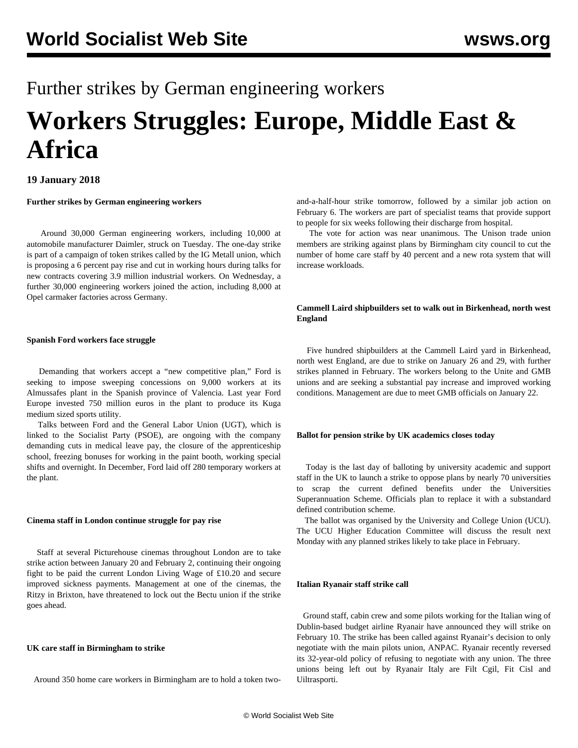# Further strikes by German engineering workers **Workers Struggles: Europe, Middle East & Africa**

# **19 January 2018**

# **Further strikes by German engineering workers**

 Around 30,000 German engineering workers, including 10,000 at automobile manufacturer Daimler, struck on Tuesday. The one-day strike is part of a campaign of token strikes called by the IG Metall union, which is proposing a 6 percent pay rise and cut in working hours during talks for new contracts covering 3.9 million industrial workers. On Wednesday, a further 30,000 engineering workers joined the action, including 8,000 at Opel carmaker factories across Germany.

# **Spanish Ford workers face struggle**

 Demanding that workers accept a "new competitive plan," Ford is seeking to impose sweeping concessions on 9,000 workers at its Almussafes plant in the Spanish province of Valencia. Last year Ford Europe invested 750 million euros in the plant to produce its Kuga medium sized sports utility.

 Talks between Ford and the General Labor Union (UGT), which is linked to the Socialist Party (PSOE), are ongoing with the company demanding cuts in medical leave pay, the closure of the apprenticeship school, freezing bonuses for working in the paint booth, working special shifts and overnight. In December, Ford laid off 280 temporary workers at the plant.

#### **Cinema staff in London continue struggle for pay rise**

 Staff at several Picturehouse cinemas throughout London are to take strike action between January 20 and February 2, continuing their ongoing fight to be paid the current London Living Wage of £10.20 and secure improved sickness payments. Management at one of the cinemas, the Ritzy in Brixton, have threatened to lock out the Bectu union if the strike goes ahead.

# **UK care staff in Birmingham to strike**

Around 350 home care workers in Birmingham are to hold a token two-

and-a-half-hour strike tomorrow, followed by a similar job action on February 6. The workers are part of specialist teams that provide support to people for six weeks following their discharge from hospital.

 The vote for action was near unanimous. The Unison trade union members are striking against plans by Birmingham city council to cut the number of home care staff by 40 percent and a new rota system that will increase workloads.

# **Cammell Laird shipbuilders set to walk out in Birkenhead, north west England**

 Five hundred shipbuilders at the Cammell Laird yard in Birkenhead, north west England, are due to strike on January 26 and 29, with further strikes planned in February. The workers belong to the Unite and GMB unions and are seeking a substantial pay increase and improved working conditions. Management are due to meet GMB officials on January 22.

#### **Ballot for pension strike by UK academics closes today**

 Today is the last day of balloting by university academic and support staff in the UK to launch a strike to oppose plans by nearly 70 universities to scrap the current defined benefits under the Universities Superannuation Scheme. Officials plan to replace it with a substandard defined contribution scheme.

 The ballot was organised by the University and College Union (UCU). The UCU Higher Education Committee will discuss the result next Monday with any planned strikes likely to take place in February.

#### **Italian Ryanair staff strike call**

 Ground staff, cabin crew and some pilots working for the Italian wing of Dublin-based budget airline Ryanair have announced they will strike on February 10. The strike has been called against Ryanair's decision to only negotiate with the main pilots union, ANPAC. Ryanair recently reversed its 32-year-old policy of refusing to negotiate with any union. The three unions being left out by Ryanair Italy are Filt Cgil, Fit Cisl and Uiltrasporti.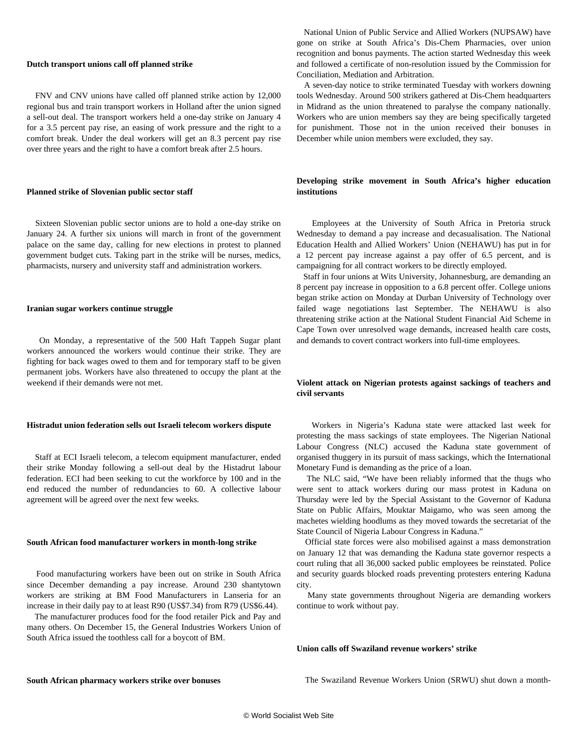#### **Dutch transport unions call off planned strike**

 FNV and CNV unions have called off planned strike action by 12,000 regional bus and train transport workers in Holland after the union signed a sell-out deal. The transport workers held a one-day strike on January 4 for a 3.5 percent pay rise, an easing of work pressure and the right to a comfort break. Under the deal workers will get an 8.3 percent pay rise over three years and the right to have a comfort break after 2.5 hours.

## **Planned strike of Slovenian public sector staff**

 Sixteen Slovenian public sector unions are to hold a one-day strike on January 24. A further six unions will march in front of the government palace on the same day, calling for new elections in protest to planned government budget cuts. Taking part in the strike will be nurses, medics, pharmacists, nursery and university staff and administration workers.

#### **Iranian sugar workers continue struggle**

 On Monday, a representative of the 500 Haft Tappeh Sugar plant workers announced the workers would continue their strike. They are fighting for back wages owed to them and for temporary staff to be given permanent jobs. Workers have also threatened to occupy the plant at the weekend if their demands were not met.

#### **Histradut union federation sells out Israeli telecom workers dispute**

 Staff at ECI Israeli telecom, a telecom equipment manufacturer, ended their strike Monday following a sell-out deal by the Histadrut labour federation. ECI had been seeking to cut the workforce by 100 and in the end reduced the number of redundancies to 60. A collective labour agreement will be agreed over the next few weeks.

#### **South African food manufacturer workers in month-long strike**

 Food manufacturing workers have been out on strike in South Africa since December demanding a pay increase. Around 230 shantytown workers are striking at BM Food Manufacturers in Lanseria for an increase in their daily pay to at least R90 (US\$7.34) from R79 (US\$6.44).

 The manufacturer produces food for the food retailer Pick and Pay and many others. On December 15, the General Industries Workers Union of South Africa issued the toothless call for a boycott of BM.

 National Union of Public Service and Allied Workers (NUPSAW) have gone on strike at South Africa's Dis-Chem Pharmacies, over union recognition and bonus payments. The action started Wednesday this week and followed a certificate of non-resolution issued by the Commission for Conciliation, Mediation and Arbitration.

 A seven-day notice to strike terminated Tuesday with workers downing tools Wednesday. Around 500 strikers gathered at Dis-Chem headquarters in Midrand as the union threatened to paralyse the company nationally. Workers who are union members say they are being specifically targeted for punishment. Those not in the union received their bonuses in December while union members were excluded, they say.

# **Developing strike movement in South Africa's higher education institutions**

 Employees at the University of South Africa in Pretoria struck Wednesday to demand a pay increase and decasualisation. The National Education Health and Allied Workers' Union (NEHAWU) has put in for a 12 percent pay increase against a pay offer of 6.5 percent, and is campaigning for all contract workers to be directly employed.

 Staff in four unions at Wits University, Johannesburg, are demanding an 8 percent pay increase in opposition to a 6.8 percent offer. College unions began strike action on Monday at Durban University of Technology over failed wage negotiations last September. The NEHAWU is also threatening strike action at the National Student Financial Aid Scheme in Cape Town over unresolved wage demands, increased health care costs, and demands to covert contract workers into full-time employees.

# **Violent attack on Nigerian protests against sackings of teachers and civil servants**

 Workers in Nigeria's Kaduna state were attacked last week for protesting the mass sackings of state employees. The Nigerian National Labour Congress (NLC) accused the Kaduna state government of organised thuggery in its pursuit of mass sackings, which the International Monetary Fund is demanding as the price of a loan.

 The NLC said, "We have been reliably informed that the thugs who were sent to attack workers during our mass protest in Kaduna on Thursday were led by the Special Assistant to the Governor of Kaduna State on Public Affairs, Mouktar Maigamo, who was seen among the machetes wielding hoodlums as they moved towards the secretariat of the State Council of Nigeria Labour Congress in Kaduna."

 Official state forces were also mobilised against a mass demonstration on January 12 that was demanding the Kaduna state governor respects a court ruling that all 36,000 sacked public employees be reinstated. Police and security guards blocked roads preventing protesters entering Kaduna city.

 Many state governments throughout Nigeria are demanding workers continue to work without pay.

#### **Union calls off Swaziland revenue workers' strike**

#### **South African pharmacy workers strike over bonuses**

The Swaziland Revenue Workers Union (SRWU) shut down a month-